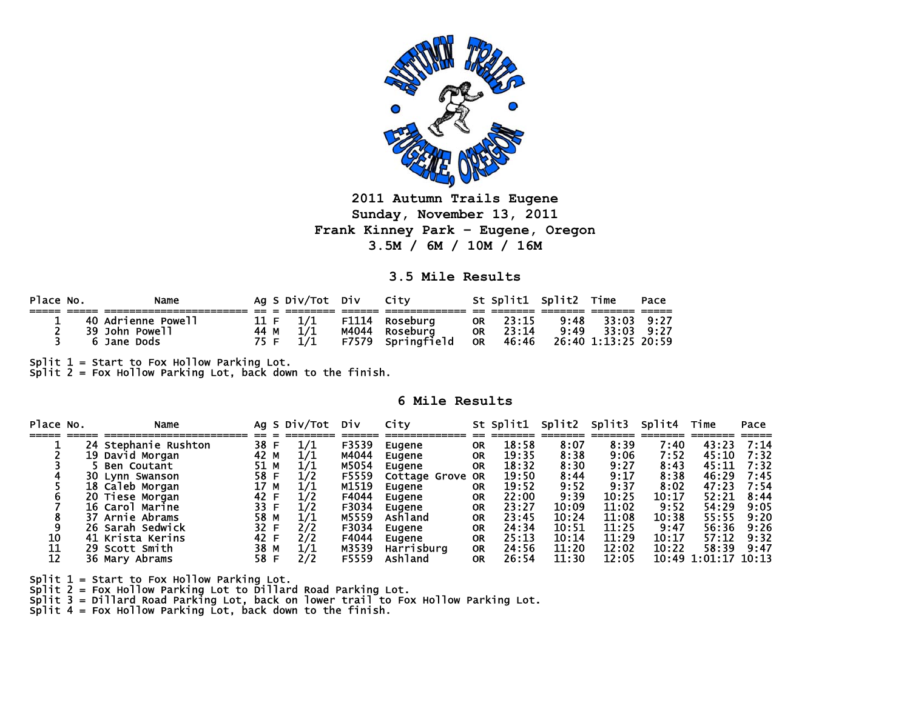

**2011 Autumn Trails Eugene Sunday, November 13, 2011 Frank Kinney Park – Eugene, Oregon 3.5M / 6M / 10M / 16M** 

**3.5 Mile Results** 

| Place No. | Name               |      | Ag S Div/Tot Div |       | City        |           | St Split1 Split2 Time |      |                     | Pace |
|-----------|--------------------|------|------------------|-------|-------------|-----------|-----------------------|------|---------------------|------|
|           |                    |      |                  |       |             |           |                       |      |                     |      |
|           | 40 Adrienne Powell |      |                  | F1114 | Rosebura    | <b>OR</b> | 23:15                 | 9:48 | 33:03 9:27          |      |
|           | 39 John Powell     | 44 M |                  | M4044 | Rosebura    | <b>OR</b> | 23:14                 | 9:49 | 33:03               | 9.27 |
|           | Jane<br>Dods       | 75 F |                  | F7579 | Springfield | <b>OR</b> | 46:46                 |      | 26:40 1:13:25 20:59 |      |

Split 1 = Start to Fox Hollow Parking Lot.<br>Split 2 = Fox Hollow Parking Lot, back down to the finish.

## **6 Mile Results**

| Place No. | Name                 |      | Ag S Div/Tot | DIV   | City             |           | St Split1 | Split2 | Split3 | Split4 | Time                | Pace |
|-----------|----------------------|------|--------------|-------|------------------|-----------|-----------|--------|--------|--------|---------------------|------|
|           | 24 Stephanie Rushton | 38 F | 1/1          | F3539 | Eugene           | 0R        | 18:58     | 8:07   | 8:39   | 7:40   | 43:23               | 7:14 |
|           | 19 David Morgan      | 42 M | 1/1          | M4044 | Eugene           | 0R        | 19:35     | 8:38   | 9:06   | 7:52   | 45:10               | 7:32 |
|           | <b>Ben Coutant</b>   | 51 M | 1/1          | M5054 | Eugene           | <b>OR</b> | 18:32     | 8:30   | 9:27   | 8:43   | 45:11               | 7:32 |
|           | 30 Lynn Swanson      | 58 F | 1/2          | F5559 | Cottage Grove OR |           | 19:50     | 8:44   | 9:17   | 8:38   | 46:29               | 7:45 |
|           | 18 Caleb Morgan      | 17 M | 1/1          | M1519 | Eugene           | 0R        | 19:52     | 9:52   | 9:37   | 8:02   | 47:23               | 7:54 |
|           | 20 Tiese Morgan      | 42 F |              | F4044 | Eugene           | <b>OR</b> | 22:00     | 9:39   | 10:25  | 10:17  | 52:21               | 8:44 |
|           | 16 Carol Marine      | 33 F | 1/2          | F3034 | Eugene           | 0R        | 23:27     | 10:09  | 11:02  | 9:52   | 54:29               | 9:05 |
|           | 37 Arnie Abrams      | 58 M | 1/1          | M5559 | Ashland          | 0R        | 23:45     | 10:24  | 11:08  | 10:38  | 55:55               | 9:20 |
|           | 26 Sarah Sedwick     | 32 F | 2/2          | F3034 | Eugene           | 0R        | 24:34     | 10:51  | 11:25  | 9:47   | 56:36               | 9:26 |
| 10        | 41 Krista Kerins     | 42 F | 2/2          | F4044 | Eugene           | 0R        | 25:13     | 10:14  | 11:29  | 10:17  | 57:12               | 9:32 |
| 11        | 29 Scott Smith       | 38 M | 1/1          | M3539 | Harrisburg       | 0R        | 24:56     | 11:20  | 12:02  | 10:22  | 58:39               | 9:47 |
| 12        | 36 Mary Abrams       | 58 F | 2/2          | F5559 | Ashland          | 0R        | 26:54     | 11:30  | 12:05  |        | 10:49 1:01:17 10:13 |      |

Split 1 = Start to Fox Hollow Parking Lot.

Split 2 = Fox Hollow Parking Lot to Dillard Road Parking Lot.

Split 3 = Dillard Road Parking Lot, back on lower trail to Fox Hollow Parking Lot.<br>Split 4 = Fox Hollow Parking Lot, back down to the finish.